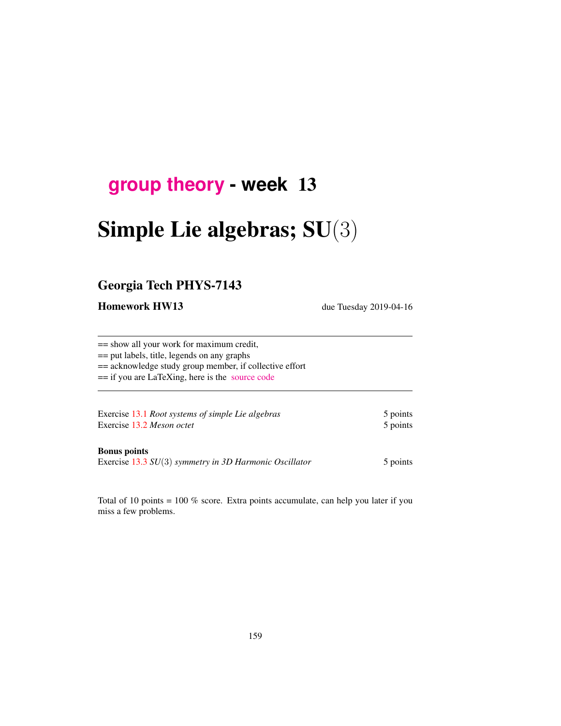## **[group theory](http://birdtracks.eu/courses/PHYS-7143-19/schedule.html) - week** 13

# Simple Lie algebras; SU(3)

## Georgia Tech PHYS-7143

Homework HW13 due Tuesday 2019-04-16

== show all your work for maximum credit, == put labels, title, legends on any graphs == acknowledge study group member, if collective effort == if you are LaTeXing, here is the [source code](http://birdtracks.eu/courses/PHYS-7143-19/exerWeek13.tex)

Exercise 13.1 *Root systems of simple Lie algebras* 5 points Exercise 13.2 *Meson octet* 5 points

#### Bonus points

Exercise 13.3 *SU*(3) *symmetry in 3D Harmonic Oscillator* 5 points

Total of 10 points = 100 % score. Extra points accumulate, can help you later if you miss a few problems.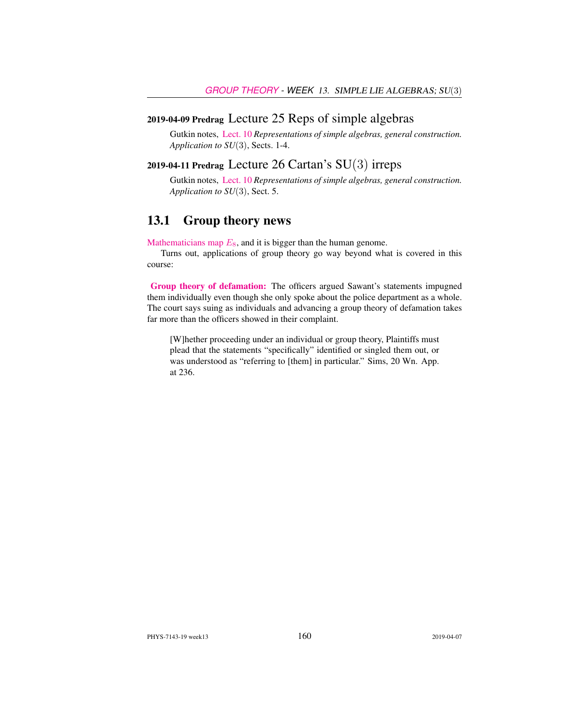#### 2019-04-09 Predrag Lecture 25 Reps of simple algebras

Gutkin notes, [Lect. 10](http://birdtracks.eu/courses/PHYS-7143-19/groups.pdf) *Representations of simple algebras, general construction. Application to SU*(3), Sects. 1-4.

## 2019-04-11 Predrag Lecture 26 Cartan's SU(3) irreps

Gutkin notes, [Lect. 10](http://birdtracks.eu/courses/PHYS-7143-19/groups.pdf) *Representations of simple algebras, general construction. Application to SU*(3), Sect. 5.

### 13.1 Group theory news

[Mathematicians map](https://www.aimath.org/E8/)  $E_8$ , and it is bigger than the human genome.

Turns out, applications of group theory go way beyond what is covered in this course:

[Group theory of defamation:](https://www.techdirt.com/articles/20190303/10531941722/federal-judge-tosses-cops-lawsuit-against-councilmember-who-said-police-dept-had-committed-murder.shtml) The officers argued Sawant's statements impugned them individually even though she only spoke about the police department as a whole. The court says suing as individuals and advancing a group theory of defamation takes far more than the officers showed in their complaint.

[W]hether proceeding under an individual or group theory, Plaintiffs must plead that the statements "specifically" identified or singled them out, or was understood as "referring to [them] in particular." Sims, 20 Wn. App. at 236.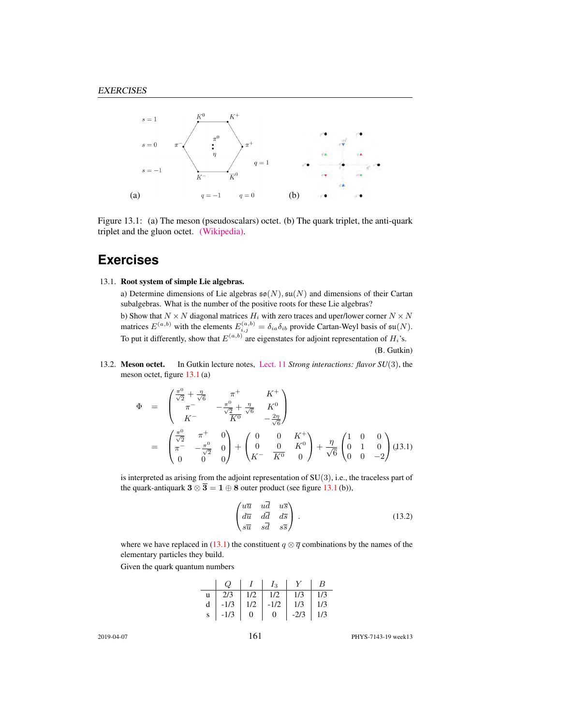

Figure 13.1: (a) The meson (pseudoscalars) octet. (b) The quark triplet, the anti-quark triplet and the gluon octet. [\(Wikipedia\).](https://en.wikipedia.org/wiki/Color_charge)

## **Exercises**

#### 13.1. Root system of simple Lie algebras.

a) Determine dimensions of Lie algebras  $\mathfrak{so}(N)$ ,  $\mathfrak{su}(N)$  and dimensions of their Cartan subalgebras. What is the number of the positive roots for these Lie algebras? b) Show that  $N \times N$  diagonal matrices  $H_i$  with zero traces and uper/lower corner  $N \times N$ matrices  $E^{(a,b)}$  with the elements  $E^{(a,b)}_{i,j} = \delta_{ia}\delta_{ib}$  provide Cartan-Weyl basis of  $\mathfrak{su}(N)$ . To put it differently, show that  $E^{(a,b)}$  are eigenstates for adjoint representation of  $H_i$ 's.

(B. Gutkin)

13.2. Meson octet. In Gutkin lecture notes, [Lect. 11](http://birdtracks.eu/courses/PHYS-7143-19/groups.pdf) *Strong interactions: flavor SU*(3), the meson octet, figure 13.1 (a)

$$
\Phi = \begin{pmatrix} \frac{\pi^0}{\sqrt{2}} + \frac{\eta}{\sqrt{6}} & \pi^+ & K^+ \\ \pi^- & -\frac{\pi^0}{\sqrt{2}} + \frac{\eta}{\sqrt{6}} & K^0 \\ K^- & \overline{K^0} & -\frac{2\eta}{\sqrt{6}} \end{pmatrix}
$$

$$
= \begin{pmatrix} \frac{\pi^0}{\sqrt{2}} & \pi^+ & 0 \\ \pi^- & -\frac{\pi^0}{\sqrt{2}} & 0 \\ 0 & 0 & 0 \end{pmatrix} + \begin{pmatrix} 0 & 0 & K^+ \\ 0 & 0 & K^0 \\ K^- & \overline{K^0} & 0 \end{pmatrix} + \frac{\eta}{\sqrt{6}} \begin{pmatrix} 1 & 0 & 0 \\ 0 & 1 & 0 \\ 0 & 0 & -2 \end{pmatrix} (J3.1)
$$

is interpreted as arising from the adjoint representation of SU(3), i.e., the traceless part of the quark-antiquark  $3 \otimes \overline{3} = 1 \oplus 8$  outer product (see figure 13.1(b)),

$$
\begin{pmatrix}\n u\overline{u} & u\overline{d} & u\overline{s} \\
d\overline{u} & d\overline{d} & d\overline{s} \\
s\overline{u} & s\overline{d} & s\overline{s}\n\end{pmatrix}.
$$
\n(13.2)

where we have replaced in (13.1) the constituent  $q \otimes \overline{q}$  combinations by the names of the elementary particles they build.

Given the quark quantum numbers

|  | $\begin{array}{ c c c c c c } \hline & I & I_3 & Y \ \hline \end{array}$ |                                                | $\mid B$ |
|--|--------------------------------------------------------------------------|------------------------------------------------|----------|
|  |                                                                          |                                                |          |
|  |                                                                          | d   -1/3   1/2   -1/2   1/3   1/3              |          |
|  |                                                                          | $s \mid -1/3 \mid 0 \mid 0 \mid -2/3 \mid 1/3$ |          |

2019-04-07 161 PHYS-7143-19 week13